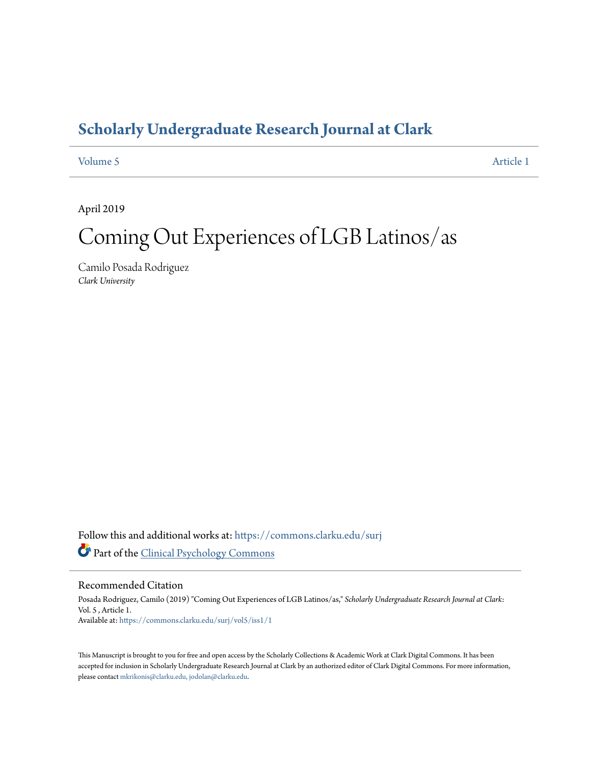# **[Scholarly Undergraduate Research Journal at Clark](https://commons.clarku.edu/surj?utm_source=commons.clarku.edu%2Fsurj%2Fvol5%2Fiss1%2F1&utm_medium=PDF&utm_campaign=PDFCoverPages)**

# [Volume 5](https://commons.clarku.edu/surj/vol5?utm_source=commons.clarku.edu%2Fsurj%2Fvol5%2Fiss1%2F1&utm_medium=PDF&utm_campaign=PDFCoverPages) [Article 1](https://commons.clarku.edu/surj/vol5/iss1/1?utm_source=commons.clarku.edu%2Fsurj%2Fvol5%2Fiss1%2F1&utm_medium=PDF&utm_campaign=PDFCoverPages)

April 2019

# Coming Out Experiences of LGB Latinos/as

Camilo Posada Rodriguez *Clark University*

Follow this and additional works at: [https://commons.clarku.edu/surj](https://commons.clarku.edu/surj?utm_source=commons.clarku.edu%2Fsurj%2Fvol5%2Fiss1%2F1&utm_medium=PDF&utm_campaign=PDFCoverPages) Part of the [Clinical Psychology Commons](http://network.bepress.com/hgg/discipline/406?utm_source=commons.clarku.edu%2Fsurj%2Fvol5%2Fiss1%2F1&utm_medium=PDF&utm_campaign=PDFCoverPages)

#### Recommended Citation

Posada Rodriguez, Camilo (2019) "Coming Out Experiences of LGB Latinos/as," *Scholarly Undergraduate Research Journal at Clark*: Vol. 5 , Article 1. Available at: [https://commons.clarku.edu/surj/vol5/iss1/1](https://commons.clarku.edu/surj/vol5/iss1/1?utm_source=commons.clarku.edu%2Fsurj%2Fvol5%2Fiss1%2F1&utm_medium=PDF&utm_campaign=PDFCoverPages)

This Manuscript is brought to you for free and open access by the Scholarly Collections & Academic Work at Clark Digital Commons. It has been accepted for inclusion in Scholarly Undergraduate Research Journal at Clark by an authorized editor of Clark Digital Commons. For more information, please contact [mkrikonis@clarku.edu, jodolan@clarku.edu](mailto:mkrikonis@clarku.edu,%20jodolan@clarku.edu).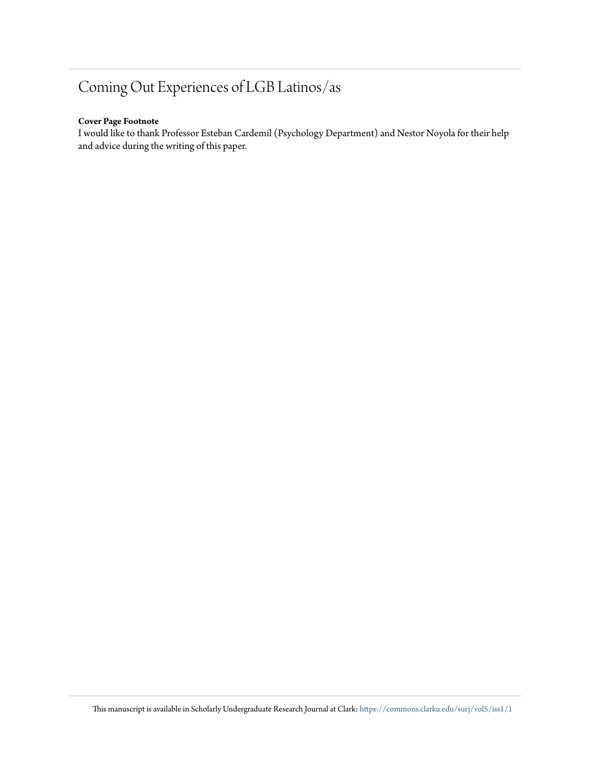# Coming Out Experiences of LGB Latinos/as

### **Cover Page Footnote**

I would like to thank Professor Esteban Cardemil (Psychology Department) and Nestor Noyola for their help and advice during the writing of this paper.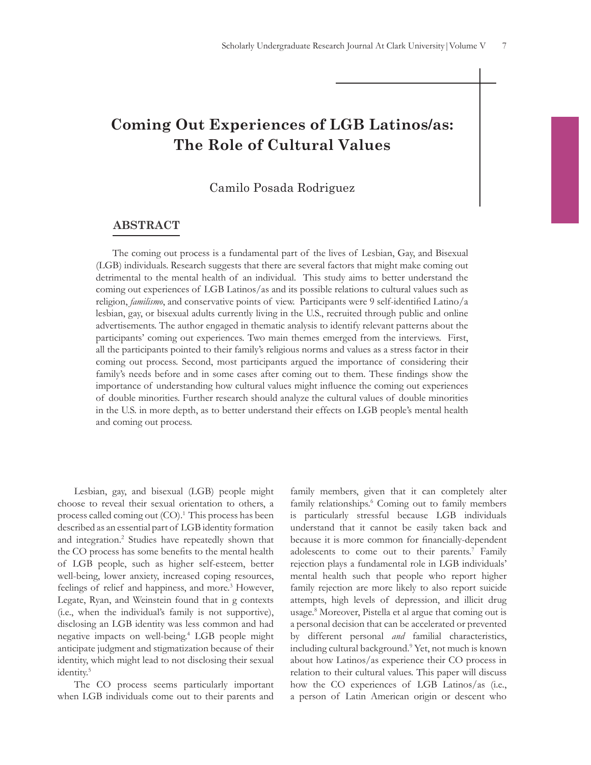# **Coming Out Experiences of LGB Latinos/as: The Role of Cultural Values**

# Camilo Posada Rodriguez

## **ABSTRACT**

The coming out process is a fundamental part of the lives of Lesbian, Gay, and Bisexual (LGB) individuals. Research suggests that there are several factors that might make coming out detrimental to the mental health of an individual. This study aims to better understand the coming out experiences of LGB Latinos/as and its possible relations to cultural values such as religion, *familismo*, and conservative points of view. Participants were 9 self-identifed Latino/a lesbian, gay, or bisexual adults currently living in the U.S., recruited through public and online advertisements. The author engaged in thematic analysis to identify relevant patterns about the participants' coming out experiences. Two main themes emerged from the interviews. First, all the participants pointed to their family's religious norms and values as a stress factor in their coming out process. Second, most participants argued the importance of considering their family's needs before and in some cases after coming out to them. These fndings show the importance of understanding how cultural values might infuence the coming out experiences of double minorities. Further research should analyze the cultural values of double minorities in the U.S. in more depth, as to better understand their effects on LGB people's mental health and coming out process.

Lesbian, gay, and bisexual (LGB) people might choose to reveal their sexual orientation to others, a process called coming out (CO).1 This process has been described as an essential part of LGB identity formation and integration.<sup>2</sup> Studies have repeatedly shown that the CO process has some benefts to the mental health of LGB people, such as higher self-esteem, better well-being, lower anxiety, increased coping resources, feelings of relief and happiness, and more.<sup>3</sup> However, Legate, Ryan, and Weinstein found that in g contexts (i.e., when the individual's family is not supportive), disclosing an LGB identity was less common and had negative impacts on well-being.4 LGB people might anticipate judgment and stigmatization because of their identity, which might lead to not disclosing their sexual identity.<sup>5</sup>

The CO process seems particularly important when LGB individuals come out to their parents and family members, given that it can completely alter family relationships.<sup>6</sup> Coming out to family members is particularly stressful because LGB individuals understand that it cannot be easily taken back and because it is more common for fnancially-dependent adolescents to come out to their parents.<sup>7</sup> Family rejection plays a fundamental role in LGB individuals' mental health such that people who report higher family rejection are more likely to also report suicide attempts, high levels of depression, and illicit drug usage.8 Moreover, Pistella et al argue that coming out is a personal decision that can be accelerated or prevented by different personal *and* familial characteristics, including cultural background.9 Yet, not much is known about how Latinos/as experience their CO process in relation to their cultural values. This paper will discuss how the CO experiences of LGB Latinos/as (i.e., a person of Latin American origin or descent who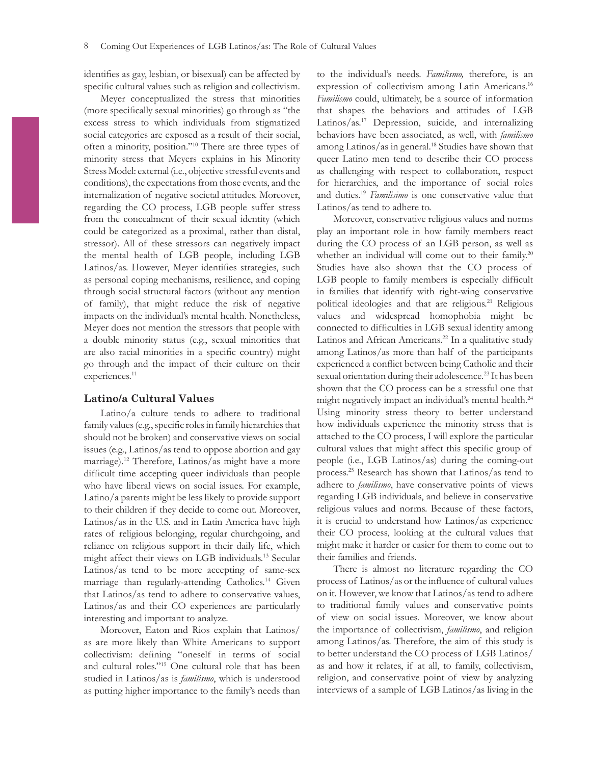identifes as gay, lesbian, or bisexual) can be affected by specifc cultural values such as religion and collectivism.

Meyer conceptualized the stress that minorities (more specifcally sexual minorities) go through as "the excess stress to which individuals from stigmatized social categories are exposed as a result of their social, often a minority, position."10 There are three types of minority stress that Meyers explains in his Minority Stress Model: external (i.e., objective stressful events and conditions), the expectations from those events, and the internalization of negative societal attitudes. Moreover, regarding the CO process, LGB people suffer stress from the concealment of their sexual identity (which could be categorized as a proximal, rather than distal, stressor). All of these stressors can negatively impact the mental health of LGB people, including LGB Latinos/as. However, Meyer identifes strategies, such as personal coping mechanisms, resilience, and coping through social structural factors (without any mention of family), that might reduce the risk of negative impacts on the individual's mental health. Nonetheless, Meyer does not mention the stressors that people with a double minority status (e.g., sexual minorities that are also racial minorities in a specifc country) might go through and the impact of their culture on their experiences.<sup>11</sup>

#### **Latino/a Cultural Values**

Latino/a culture tends to adhere to traditional family values (e.g., specifc roles in family hierarchies that should not be broken) and conservative views on social issues (e.g., Latinos/as tend to oppose abortion and gay marriage).12 Therefore, Latinos/as might have a more diffcult time accepting queer individuals than people who have liberal views on social issues. For example, Latino/a parents might be less likely to provide support to their children if they decide to come out. Moreover, Latinos/as in the U.S. and in Latin America have high rates of religious belonging, regular churchgoing, and reliance on religious support in their daily life, which might affect their views on LGB individuals.13 Secular Latinos/as tend to be more accepting of same-sex marriage than regularly-attending Catholics.<sup>14</sup> Given that Latinos/as tend to adhere to conservative values, Latinos/as and their CO experiences are particularly interesting and important to analyze.

Moreover, Eaton and Rios explain that Latinos/ as are more likely than White Americans to support collectivism: defning "oneself in terms of social and cultural roles."15 One cultural role that has been studied in Latinos/as is *familismo*, which is understood as putting higher importance to the family's needs than to the individual's needs. *Familismo,* therefore, is an expression of collectivism among Latin Americans.<sup>16</sup> *Familismo* could, ultimately, be a source of information that shapes the behaviors and attitudes of LGB Latinos/as.17 Depression, suicide, and internalizing behaviors have been associated, as well, with *familismo* among Latinos/as in general.<sup>18</sup> Studies have shown that queer Latino men tend to describe their CO process as challenging with respect to collaboration, respect for hierarchies, and the importance of social roles and duties.19 *Familisimo* is one conservative value that Latinos/as tend to adhere to.

Moreover, conservative religious values and norms play an important role in how family members react during the CO process of an LGB person, as well as whether an individual will come out to their family.<sup>20</sup> Studies have also shown that the CO process of LGB people to family members is especially difficult in families that identify with right-wing conservative political ideologies and that are religious.<sup>21</sup> Religious values and widespread homophobia might be connected to diffculties in LGB sexual identity among Latinos and African Americans.<sup>22</sup> In a qualitative study among Latinos/as more than half of the participants experienced a confict between being Catholic and their sexual orientation during their adolescence.<sup>23</sup> It has been shown that the CO process can be a stressful one that might negatively impact an individual's mental health.24 Using minority stress theory to better understand how individuals experience the minority stress that is attached to the CO process, I will explore the particular cultural values that might affect this specifc group of people (i.e., LGB Latinos/as) during the coming-out process.25 Research has shown that Latinos/as tend to adhere to *familismo*, have conservative points of views regarding LGB individuals, and believe in conservative religious values and norms. Because of these factors, it is crucial to understand how Latinos/as experience their CO process, looking at the cultural values that might make it harder or easier for them to come out to their families and friends.

There is almost no literature regarding the CO process of Latinos/as or the infuence of cultural values on it. However, we know that Latinos/as tend to adhere to traditional family values and conservative points of view on social issues. Moreover, we know about the importance of collectivism, *familismo*, and religion among Latinos/as. Therefore, the aim of this study is to better understand the CO process of LGB Latinos/ as and how it relates, if at all, to family, collectivism, religion, and conservative point of view by analyzing interviews of a sample of LGB Latinos/as living in the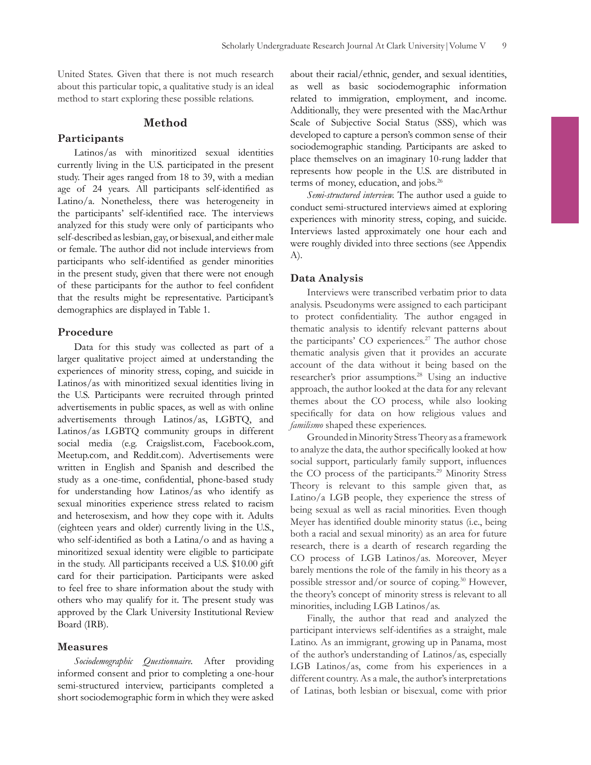United States. Given that there is not much research about this particular topic, a qualitative study is an ideal method to start exploring these possible relations.

#### **Method**

#### **Participants**

Latinos/as with minoritized sexual identities currently living in the U.S. participated in the present study. Their ages ranged from 18 to 39, with a median age of 24 years. All participants self-identifed as Latino/a. Nonetheless, there was heterogeneity in the participants' self-identifed race. The interviews analyzed for this study were only of participants who self-described as lesbian, gay, or bisexual, and either male or female. The author did not include interviews from participants who self-identifed as gender minorities in the present study, given that there were not enough of these participants for the author to feel confdent that the results might be representative. Participant's demographics are displayed in Table 1.

#### **Procedure**

Data for this study was collected as part of a larger qualitative project aimed at understanding the experiences of minority stress, coping, and suicide in Latinos/as with minoritized sexual identities living in the U.S. Participants were recruited through printed advertisements in public spaces, as well as with online advertisements through Latinos/as, LGBTQ, and Latinos/as LGBTQ community groups in different social media (e.g. Craigslist.com, Facebook.com, Meetup.com, and Reddit.com). Advertisements were written in English and Spanish and described the study as a one-time, confdential, phone-based study for understanding how Latinos/as who identify as sexual minorities experience stress related to racism and heterosexism, and how they cope with it. Adults (eighteen years and older) currently living in the U.S., who self-identifed as both a Latina/o and as having a minoritized sexual identity were eligible to participate in the study. All participants received a U.S. \$10.00 gift card for their participation. Participants were asked to feel free to share information about the study with others who may qualify for it. The present study was approved by the Clark University Institutional Review Board (IRB).

#### **Measures**

*Sociodemographic Questionnaire.* After providing informed consent and prior to completing a one-hour semi-structured interview, participants completed a short sociodemographic form in which they were asked about their racial/ethnic, gender, and sexual identities, as well as basic sociodemographic information related to immigration, employment, and income. Additionally, they were presented with the MacArthur Scale of Subjective Social Status (SSS), which was developed to capture a person's common sense of their sociodemographic standing. Participants are asked to place themselves on an imaginary 10-rung ladder that represents how people in the U.S. are distributed in terms of money, education, and jobs.26

*Semi-structured interview.* The author used a guide to conduct semi-structured interviews aimed at exploring experiences with minority stress, coping, and suicide. Interviews lasted approximately one hour each and were roughly divided into three sections (see Appendix A).

#### **Data Analysis**

Interviews were transcribed verbatim prior to data analysis. Pseudonyms were assigned to each participant to protect confdentiality. The author engaged in thematic analysis to identify relevant patterns about the participants' CO experiences.<sup>27</sup> The author chose thematic analysis given that it provides an accurate account of the data without it being based on the researcher's prior assumptions.28 Using an inductive approach, the author looked at the data for any relevant themes about the CO process, while also looking specifcally for data on how religious values and *familismo* shaped these experiences.

Grounded in Minority Stress Theory as a framework to analyze the data, the author specifcally looked at how social support, particularly family support, infuences the CO process of the participants.<sup>29</sup> Minority Stress Theory is relevant to this sample given that, as Latino/a LGB people, they experience the stress of being sexual as well as racial minorities. Even though Meyer has identifed double minority status (i.e., being both a racial and sexual minority) as an area for future research, there is a dearth of research regarding the CO process of LGB Latinos/as. Moreover, Meyer barely mentions the role of the family in his theory as a possible stressor and/or source of coping.30 However, the theory's concept of minority stress is relevant to all minorities, including LGB Latinos/as.

Finally, the author that read and analyzed the participant interviews self-identifes as a straight, male Latino. As an immigrant, growing up in Panama, most of the author's understanding of Latinos/as, especially LGB Latinos/as, come from his experiences in a different country. As a male, the author's interpretations of Latinas, both lesbian or bisexual, come with prior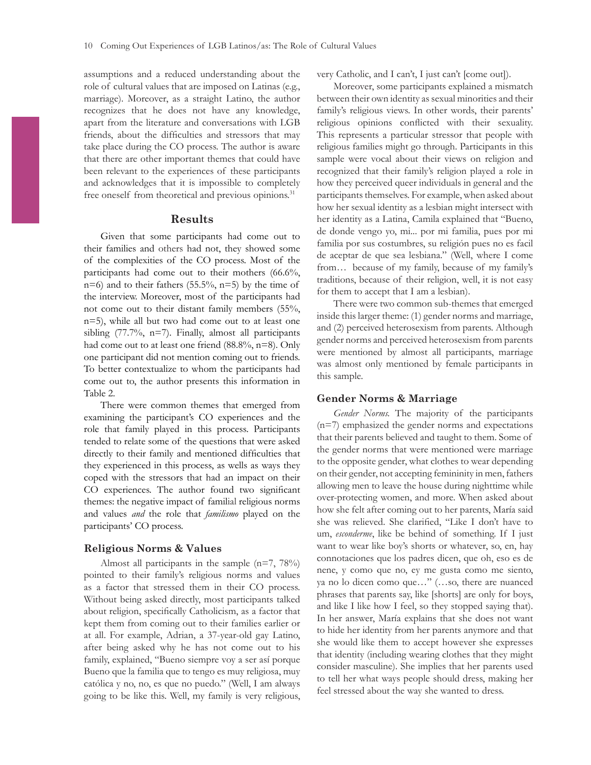assumptions and a reduced understanding about the role of cultural values that are imposed on Latinas (e.g., marriage). Moreover, as a straight Latino, the author recognizes that he does not have any knowledge, apart from the literature and conversations with LGB friends, about the diffculties and stressors that may take place during the CO process. The author is aware that there are other important themes that could have been relevant to the experiences of these participants and acknowledges that it is impossible to completely free oneself from theoretical and previous opinions.<sup>31</sup>

#### **Results**

Given that some participants had come out to their families and others had not, they showed some of the complexities of the CO process. Most of the participants had come out to their mothers (66.6%,  $n=6$ ) and to their fathers (55.5%,  $n=5$ ) by the time of the interview. Moreover, most of the participants had not come out to their distant family members (55%, n=5), while all but two had come out to at least one sibling (77.7%, n=7). Finally, almost all participants had come out to at least one friend (88.8%, n=8). Only one participant did not mention coming out to friends. To better contextualize to whom the participants had come out to, the author presents this information in Table 2.

There were common themes that emerged from examining the participant's CO experiences and the role that family played in this process. Participants tended to relate some of the questions that were asked directly to their family and mentioned diffculties that they experienced in this process, as wells as ways they coped with the stressors that had an impact on their CO experiences. The author found two signifcant themes: the negative impact of familial religious norms and values *and* the role that *familismo* played on the participants' CO process.

#### **Religious Norms & Values**

Almost all participants in the sample  $(n=7, 78%)$ pointed to their family's religious norms and values as a factor that stressed them in their CO process. Without being asked directly, most participants talked about religion, specifcally Catholicism, as a factor that kept them from coming out to their families earlier or at all. For example, Adrian, a 37-year-old gay Latino, after being asked why he has not come out to his family, explained, "Bueno siempre voy a ser así porque Bueno que la familia que to tengo es muy religiosa, muy católica y no, no, es que no puedo." (Well, I am always going to be like this. Well, my family is very religious, very Catholic, and I can't, I just can't [come out]).

Moreover, some participants explained a mismatch between their own identity as sexual minorities and their family's religious views. In other words, their parents' religious opinions conficted with their sexuality. This represents a particular stressor that people with religious families might go through. Participants in this sample were vocal about their views on religion and recognized that their family's religion played a role in how they perceived queer individuals in general and the participants themselves. For example, when asked about how her sexual identity as a lesbian might intersect with her identity as a Latina, Camila explained that "Bueno, de donde vengo yo, mi... por mi familia, pues por mi familia por sus costumbres, su religión pues no es facil de aceptar de que sea lesbiana." (Well, where I come from… because of my family, because of my family's traditions, because of their religion, well, it is not easy for them to accept that I am a lesbian).

There were two common sub-themes that emerged inside this larger theme: (1) gender norms and marriage, and (2) perceived heterosexism from parents. Although gender norms and perceived heterosexism from parents were mentioned by almost all participants, marriage was almost only mentioned by female participants in this sample.

#### **Gender Norms & Marriage**

*Gender Norms.* The majority of the participants (n=7) emphasized the gender norms and expectations that their parents believed and taught to them. Some of the gender norms that were mentioned were marriage to the opposite gender, what clothes to wear depending on their gender, not accepting femininity in men, fathers allowing men to leave the house during nighttime while over-protecting women, and more. When asked about how she felt after coming out to her parents, María said she was relieved. She clarifed, "Like I don't have to um, *esconderme*, like be behind of something. If I just want to wear like boy's shorts or whatever, so, en, hay connotaciones que los padres dicen, que oh, eso es de nene, y como que no, ey me gusta como me siento, ya no lo dicen como que…" (…so, there are nuanced phrases that parents say, like [shorts] are only for boys, and like I like how I feel, so they stopped saying that). In her answer, María explains that she does not want to hide her identity from her parents anymore and that she would like them to accept however she expresses that identity (including wearing clothes that they might consider masculine). She implies that her parents used to tell her what ways people should dress, making her feel stressed about the way she wanted to dress.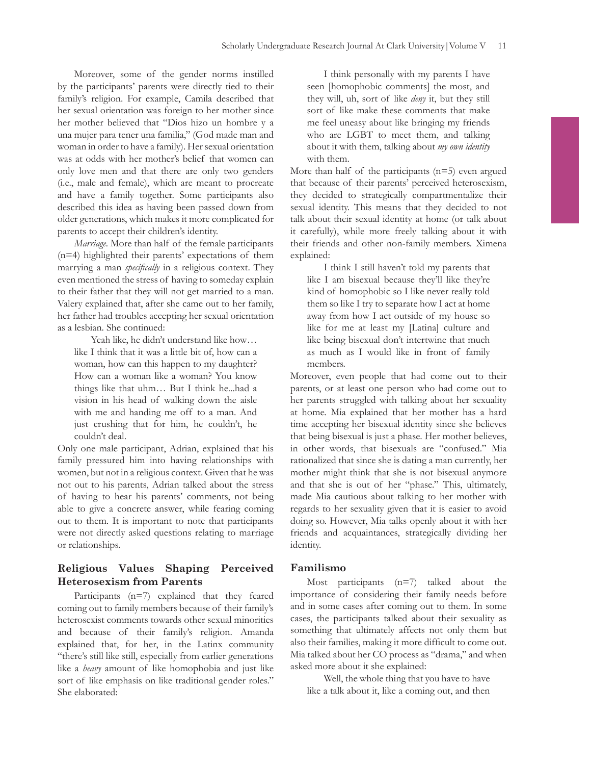Moreover, some of the gender norms instilled by the participants' parents were directly tied to their family's religion. For example, Camila described that her sexual orientation was foreign to her mother since her mother believed that "Dios hizo un hombre y a una mujer para tener una familia," (God made man and woman in order to have a family). Her sexual orientation was at odds with her mother's belief that women can only love men and that there are only two genders (i.e., male and female), which are meant to procreate and have a family together. Some participants also described this idea as having been passed down from older generations, which makes it more complicated for parents to accept their children's identity.

*Marriage.* More than half of the female participants (n=4) highlighted their parents' expectations of them marrying a man *specifcally* in a religious context. They even mentioned the stress of having to someday explain to their father that they will not get married to a man. Valery explained that, after she came out to her family, her father had troubles accepting her sexual orientation as a lesbian. She continued:

Yeah like, he didn't understand like how… like I think that it was a little bit of, how can a woman, how can this happen to my daughter? How can a woman like a woman? You know things like that uhm… But I think he...had a vision in his head of walking down the aisle with me and handing me off to a man. And just crushing that for him, he couldn't, he couldn't deal.

Only one male participant, Adrian, explained that his family pressured him into having relationships with women, but not in a religious context. Given that he was not out to his parents, Adrian talked about the stress of having to hear his parents' comments, not being able to give a concrete answer, while fearing coming out to them. It is important to note that participants were not directly asked questions relating to marriage or relationships.

# **Religious Values Shaping Perceived Heterosexism from Parents**

Participants (n=7) explained that they feared coming out to family members because of their family's heterosexist comments towards other sexual minorities and because of their family's religion. Amanda explained that, for her, in the Latinx community "there's still like still, especially from earlier generations like a *heavy* amount of like homophobia and just like sort of like emphasis on like traditional gender roles." She elaborated:

I think personally with my parents I have seen [homophobic comments] the most, and they will, uh, sort of like *deny* it, but they still sort of like make these comments that make me feel uneasy about like bringing my friends who are LGBT to meet them, and talking about it with them, talking about *my own identity* with them.

More than half of the participants  $(n=5)$  even argued that because of their parents' perceived heterosexism, they decided to strategically compartmentalize their sexual identity. This means that they decided to not talk about their sexual identity at home (or talk about it carefully), while more freely talking about it with their friends and other non-family members. Ximena explained:

I think I still haven't told my parents that like I am bisexual because they'll like they're kind of homophobic so I like never really told them so like I try to separate how I act at home away from how I act outside of my house so like for me at least my [Latina] culture and like being bisexual don't intertwine that much as much as I would like in front of family members.

Moreover, even people that had come out to their parents, or at least one person who had come out to her parents struggled with talking about her sexuality at home. Mia explained that her mother has a hard time accepting her bisexual identity since she believes that being bisexual is just a phase. Her mother believes, in other words, that bisexuals are "confused." Mia rationalized that since she is dating a man currently, her mother might think that she is not bisexual anymore and that she is out of her "phase." This, ultimately, made Mia cautious about talking to her mother with regards to her sexuality given that it is easier to avoid doing so. However, Mia talks openly about it with her friends and acquaintances, strategically dividing her identity.

#### **Familismo**

Most participants  $(n=7)$  talked about the importance of considering their family needs before and in some cases after coming out to them. In some cases, the participants talked about their sexuality as something that ultimately affects not only them but also their families, making it more diffcult to come out. Mia talked about her CO process as "drama," and when asked more about it she explained:

Well, the whole thing that you have to have like a talk about it, like a coming out, and then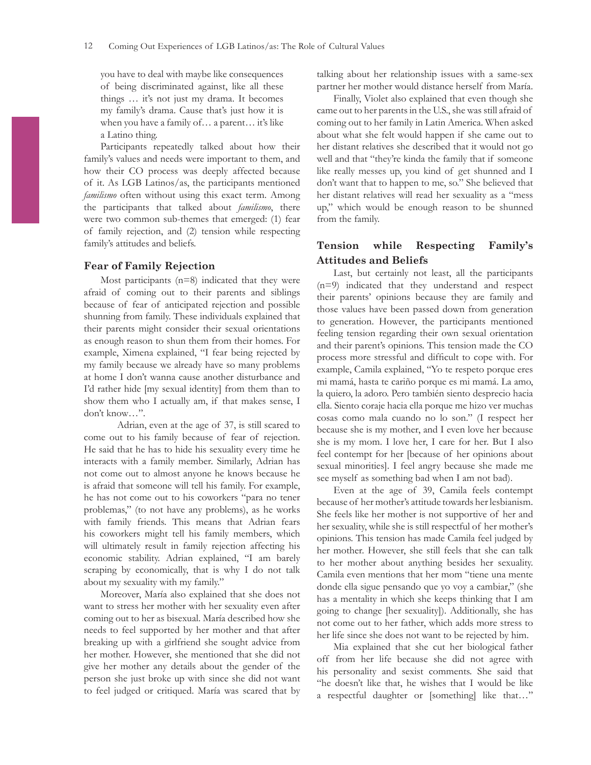you have to deal with maybe like consequences of being discriminated against, like all these things … it's not just my drama. It becomes my family's drama. Cause that's just how it is when you have a family of… a parent… it's like a Latino thing.

Participants repeatedly talked about how their family's values and needs were important to them, and how their CO process was deeply affected because of it. As LGB Latinos/as, the participants mentioned *familismo* often without using this exact term. Among the participants that talked about *familismo*, there were two common sub-themes that emerged: (1) fear of family rejection, and (2) tension while respecting family's attitudes and beliefs.

# **Fear of Family Rejection**

Most participants (n=8) indicated that they were afraid of coming out to their parents and siblings because of fear of anticipated rejection and possible shunning from family. These individuals explained that their parents might consider their sexual orientations as enough reason to shun them from their homes. For example, Ximena explained, "I fear being rejected by my family because we already have so many problems at home I don't wanna cause another disturbance and I'd rather hide [my sexual identity] from them than to show them who I actually am, if that makes sense, I don't know…".

Adrian, even at the age of 37, is still scared to come out to his family because of fear of rejection. He said that he has to hide his sexuality every time he interacts with a family member. Similarly, Adrian has not come out to almost anyone he knows because he is afraid that someone will tell his family. For example, he has not come out to his coworkers "para no tener problemas," (to not have any problems), as he works with family friends. This means that Adrian fears his coworkers might tell his family members, which will ultimately result in family rejection affecting his economic stability. Adrian explained, "I am barely scraping by economically, that is why I do not talk about my sexuality with my family."

Moreover, María also explained that she does not want to stress her mother with her sexuality even after coming out to her as bisexual. María described how she needs to feel supported by her mother and that after breaking up with a girlfriend she sought advice from her mother. However, she mentioned that she did not give her mother any details about the gender of the person she just broke up with since she did not want to feel judged or critiqued. María was scared that by talking about her relationship issues with a same-sex partner her mother would distance herself from María.

Finally, Violet also explained that even though she came out to her parents in the U.S., she was still afraid of coming out to her family in Latin America. When asked about what she felt would happen if she came out to her distant relatives she described that it would not go well and that "they're kinda the family that if someone like really messes up, you kind of get shunned and I don't want that to happen to me, so." She believed that her distant relatives will read her sexuality as a "mess up," which would be enough reason to be shunned from the family.

# **Tension while Respecting Family's Attitudes and Beliefs**

Last, but certainly not least, all the participants (n=9) indicated that they understand and respect their parents' opinions because they are family and those values have been passed down from generation to generation. However, the participants mentioned feeling tension regarding their own sexual orientation and their parent's opinions. This tension made the CO process more stressful and diffcult to cope with. For example, Camila explained, "Yo te respeto porque eres mi mamá, hasta te cariño porque es mi mamá. La amo, la quiero, la adoro. Pero también siento desprecio hacia ella. Siento coraje hacia ella porque me hizo ver muchas cosas como mala cuando no lo son." (I respect her because she is my mother, and I even love her because she is my mom. I love her, I care for her. But I also feel contempt for her [because of her opinions about sexual minorities]. I feel angry because she made me see myself as something bad when I am not bad).

Even at the age of 39, Camila feels contempt because of her mother's attitude towards her lesbianism. She feels like her mother is not supportive of her and her sexuality, while she is still respectful of her mother's opinions. This tension has made Camila feel judged by her mother. However, she still feels that she can talk to her mother about anything besides her sexuality. Camila even mentions that her mom "tiene una mente donde ella sigue pensando que yo voy a cambiar," (she has a mentality in which she keeps thinking that I am going to change [her sexuality]). Additionally, she has not come out to her father, which adds more stress to her life since she does not want to be rejected by him.

Mia explained that she cut her biological father off from her life because she did not agree with his personality and sexist comments. She said that "he doesn't like that, he wishes that I would be like a respectful daughter or [something] like that…"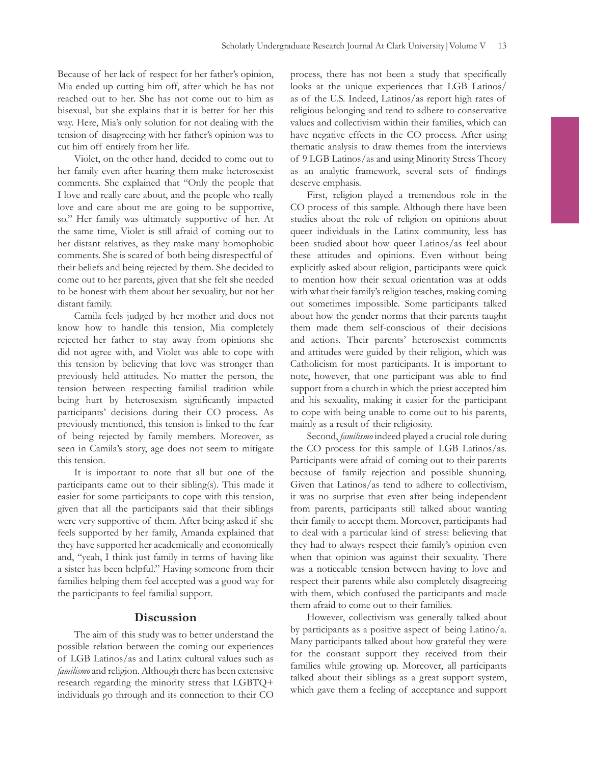Because of her lack of respect for her father's opinion, Mia ended up cutting him off, after which he has not reached out to her. She has not come out to him as bisexual, but she explains that it is better for her this way. Here, Mia's only solution for not dealing with the tension of disagreeing with her father's opinion was to cut him off entirely from her life.

Violet, on the other hand, decided to come out to her family even after hearing them make heterosexist comments. She explained that "Only the people that I love and really care about, and the people who really love and care about me are going to be supportive, so." Her family was ultimately supportive of her. At the same time, Violet is still afraid of coming out to her distant relatives, as they make many homophobic comments. She is scared of both being disrespectful of their beliefs and being rejected by them. She decided to come out to her parents, given that she felt she needed to be honest with them about her sexuality, but not her distant family.

Camila feels judged by her mother and does not know how to handle this tension, Mia completely rejected her father to stay away from opinions she did not agree with, and Violet was able to cope with this tension by believing that love was stronger than previously held attitudes. No matter the person, the tension between respecting familial tradition while being hurt by heterosexism signifcantly impacted participants' decisions during their CO process. As previously mentioned, this tension is linked to the fear of being rejected by family members. Moreover, as seen in Camila's story, age does not seem to mitigate this tension.

It is important to note that all but one of the participants came out to their sibling(s). This made it easier for some participants to cope with this tension, given that all the participants said that their siblings were very supportive of them. After being asked if she feels supported by her family, Amanda explained that they have supported her academically and economically and, "yeah, I think just family in terms of having like a sister has been helpful." Having someone from their families helping them feel accepted was a good way for the participants to feel familial support.

#### **Discussion**

The aim of this study was to better understand the possible relation between the coming out experiences of LGB Latinos/as and Latinx cultural values such as *familismo* and religion. Although there has been extensive research regarding the minority stress that LGBTQ+ individuals go through and its connection to their CO

process, there has not been a study that specifcally looks at the unique experiences that LGB Latinos/ as of the U.S. Indeed, Latinos/as report high rates of religious belonging and tend to adhere to conservative values and collectivism within their families, which can have negative effects in the CO process. After using thematic analysis to draw themes from the interviews of 9 LGB Latinos/as and using Minority Stress Theory as an analytic framework, several sets of fndings deserve emphasis.

First, religion played a tremendous role in the CO process of this sample. Although there have been studies about the role of religion on opinions about queer individuals in the Latinx community, less has been studied about how queer Latinos/as feel about these attitudes and opinions. Even without being explicitly asked about religion, participants were quick to mention how their sexual orientation was at odds with what their family's religion teaches, making coming out sometimes impossible. Some participants talked about how the gender norms that their parents taught them made them self-conscious of their decisions and actions. Their parents' heterosexist comments and attitudes were guided by their religion, which was Catholicism for most participants. It is important to note, however, that one participant was able to fnd support from a church in which the priest accepted him and his sexuality, making it easier for the participant to cope with being unable to come out to his parents, mainly as a result of their religiosity.

Second, *familismo* indeed played a crucial role during the CO process for this sample of LGB Latinos/as. Participants were afraid of coming out to their parents because of family rejection and possible shunning. Given that Latinos/as tend to adhere to collectivism, it was no surprise that even after being independent from parents, participants still talked about wanting their family to accept them. Moreover, participants had to deal with a particular kind of stress: believing that they had to always respect their family's opinion even when that opinion was against their sexuality. There was a noticeable tension between having to love and respect their parents while also completely disagreeing with them, which confused the participants and made them afraid to come out to their families.

However, collectivism was generally talked about by participants as a positive aspect of being Latino/a. Many participants talked about how grateful they were for the constant support they received from their families while growing up. Moreover, all participants talked about their siblings as a great support system, which gave them a feeling of acceptance and support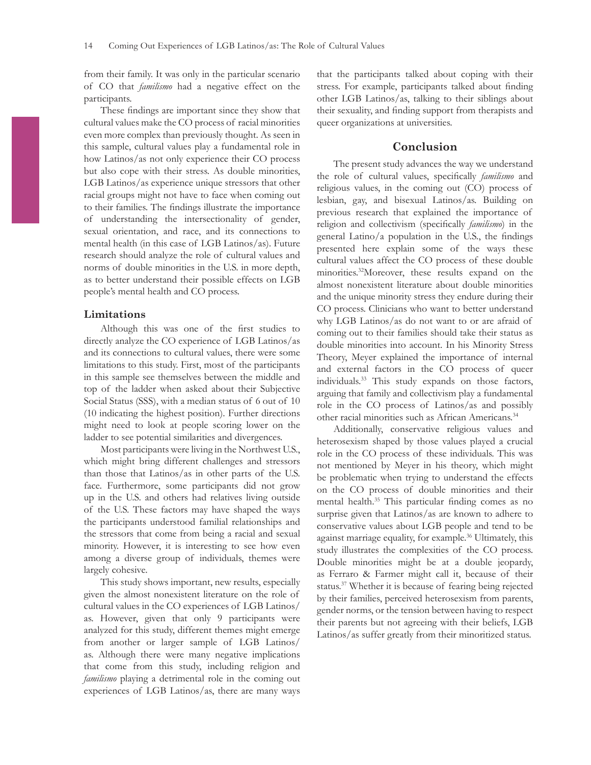from their family. It was only in the particular scenario of CO that *familismo* had a negative effect on the participants.

These fndings are important since they show that cultural values make the CO process of racial minorities even more complex than previously thought. As seen in this sample, cultural values play a fundamental role in how Latinos/as not only experience their CO process but also cope with their stress. As double minorities, LGB Latinos/as experience unique stressors that other racial groups might not have to face when coming out to their families. The fndings illustrate the importance of understanding the intersectionality of gender, sexual orientation, and race, and its connections to mental health (in this case of LGB Latinos/as). Future research should analyze the role of cultural values and norms of double minorities in the U.S. in more depth, as to better understand their possible effects on LGB people's mental health and CO process.

#### **Limitations**

Although this was one of the frst studies to directly analyze the CO experience of LGB Latinos/as and its connections to cultural values, there were some limitations to this study. First, most of the participants in this sample see themselves between the middle and top of the ladder when asked about their Subjective Social Status (SSS), with a median status of 6 out of 10 (10 indicating the highest position). Further directions might need to look at people scoring lower on the ladder to see potential similarities and divergences.

Most participants were living in the Northwest U.S., which might bring different challenges and stressors than those that Latinos/as in other parts of the U.S. face. Furthermore, some participants did not grow up in the U.S. and others had relatives living outside of the U.S. These factors may have shaped the ways the participants understood familial relationships and the stressors that come from being a racial and sexual minority. However, it is interesting to see how even among a diverse group of individuals, themes were largely cohesive.

This study shows important, new results, especially given the almost nonexistent literature on the role of cultural values in the CO experiences of LGB Latinos/ as. However, given that only 9 participants were analyzed for this study, different themes might emerge from another or larger sample of LGB Latinos/ as. Although there were many negative implications that come from this study, including religion and *familismo* playing a detrimental role in the coming out experiences of LGB Latinos/as, there are many ways

that the participants talked about coping with their stress. For example, participants talked about fnding other LGB Latinos/as, talking to their siblings about their sexuality, and fnding support from therapists and queer organizations at universities.

#### **Conclusion**

The present study advances the way we understand the role of cultural values, specifcally *familismo* and religious values, in the coming out (CO) process of lesbian, gay, and bisexual Latinos/as. Building on previous research that explained the importance of religion and collectivism (specifcally *familismo*) in the general Latino/a population in the U.S., the fndings presented here explain some of the ways these cultural values affect the CO process of these double minorities.32Moreover, these results expand on the almost nonexistent literature about double minorities and the unique minority stress they endure during their CO process. Clinicians who want to better understand why LGB Latinos/as do not want to or are afraid of coming out to their families should take their status as double minorities into account. In his Minority Stress Theory, Meyer explained the importance of internal and external factors in the CO process of queer individuals.33 This study expands on those factors, arguing that family and collectivism play a fundamental role in the CO process of Latinos/as and possibly other racial minorities such as African Americans.<sup>34</sup>

Additionally, conservative religious values and heterosexism shaped by those values played a crucial role in the CO process of these individuals. This was not mentioned by Meyer in his theory, which might be problematic when trying to understand the effects on the CO process of double minorities and their mental health.<sup>35</sup> This particular finding comes as no surprise given that Latinos/as are known to adhere to conservative values about LGB people and tend to be against marriage equality, for example.<sup>36</sup> Ultimately, this study illustrates the complexities of the CO process. Double minorities might be at a double jeopardy, as Ferraro & Farmer might call it, because of their status.<sup>37</sup> Whether it is because of fearing being rejected by their families, perceived heterosexism from parents, gender norms, or the tension between having to respect their parents but not agreeing with their beliefs, LGB Latinos/as suffer greatly from their minoritized status.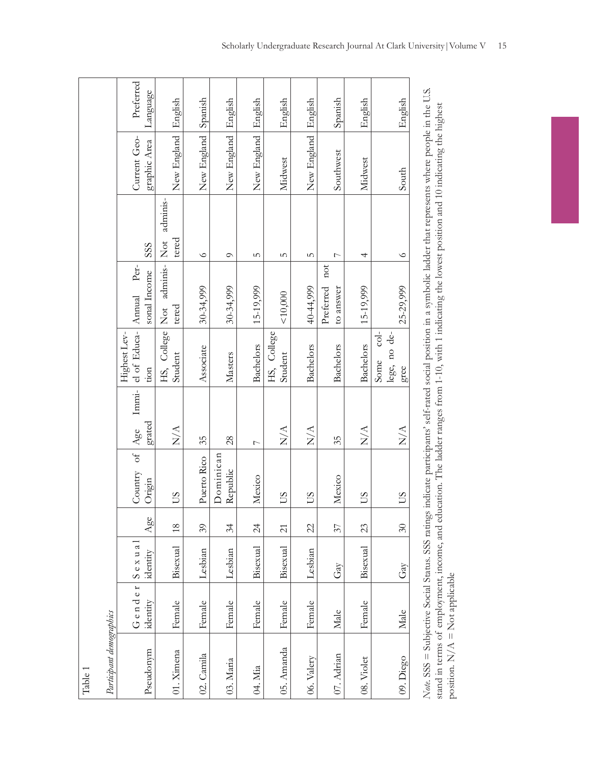|         |                          | Preferred<br>Language                                     | English                      | Spanish     | English               | English          | English                | English          | Spanish                       | English          | English                                              |
|---------|--------------------------|-----------------------------------------------------------|------------------------------|-------------|-----------------------|------------------|------------------------|------------------|-------------------------------|------------------|------------------------------------------------------|
|         |                          | Current Geo-<br>graphic Area                              | New England                  | New England | New England           | New England      | Midwest                | New England      | Southwest                     | Midwest          | South                                                |
|         |                          | SSS                                                       | adminis-<br>tered            | $\circ$     | $\circ$               | 5                | S                      | 5                | $\overline{ }$                | 4                | $\circ$                                              |
|         |                          | $\rm{Per}$<br>sonal Income                                | Not adminis-<br>Not<br>tered | 30-34,999   | 30-34,999             | 15-19,999        | 10,000                 | 40-44,999        | not<br>Preferred<br>to answer | 15-19,999        | 25-29,999                                            |
|         |                          | Immi- el of Educa- Annual<br>Highest Lev-<br>$\dot{t}$ on | HS, College<br>Student       | Associate   | Masters               | <b>Bachelors</b> | HS, College<br>Student | <b>Bachelors</b> | <b>Bachelors</b>              | <b>Bachelors</b> | $\frac{1}{\sqrt{2}}$<br>lege, no de-<br>Some<br>gree |
|         |                          | grated                                                    | $\sum_{i=1}^{n}$             | 35          | 28                    | $\overline{ }$   | $\sum_{i=1}^{n}$       | $\sum_{i=1}^{n}$ | 35                            | $\sum_{i=1}^{n}$ | $\frac{A}{N}$                                        |
|         |                          | Country of Age<br>$\mathop{\rm Origin}\nolimits$          | SU                           | Puerto Rico | Dominican<br>Republic | Mexico           | SQ                     | SU               | Mexico                        | SU               | SQ                                                   |
|         |                          | Age                                                       | $\frac{8}{2}$                | 39          | 34                    | $\overline{24}$  | $\overline{c}$         | 22               | 57                            | 23               | $\Im$                                                |
|         |                          | $S$ exua<br>identity                                      | Bisexual                     | Lesbian     | Lesbian               | Bisexual         | Bisexual               | Lesbian          | $\mathrm{Gay}$                | Bisexual         | Gay                                                  |
|         |                          | Gender<br>identity                                        | Female                       | Female      | Female                | Female           | Female                 | Female           | Male                          | Female           | Male                                                 |
| Table 1 | Participant demographics | Pseudonym                                                 | 01. Ximena                   | 02. Camila  | 03. Maria             | 04. Mia          | 05. Amanda             | 06. Valery       | 07. Adrian                    | 08. Violet       | 09. Diego                                            |

*Note.* SSS = Subjective Social Status. SSS ratings indicate participants' self-rated social position in a symbolic ladder that represents where people in the U.S. Note. SSS = Subjective Social Status. SSS ratings indicate participants' self-rated social position in a symbolic ladder that represents where people in the U.S. stand in terms of employment, income, and education. The ladder ranges from 1-10, with 1 indicating the lowest position and 10 indicating the highest stand in terms of employment, income, and education. The ladder ranges from 1-10, with 1 indicating the lowest position and 10 indicating the highest position.  $N/A$  = Not applicable position.  $N/A = N$  ot applicable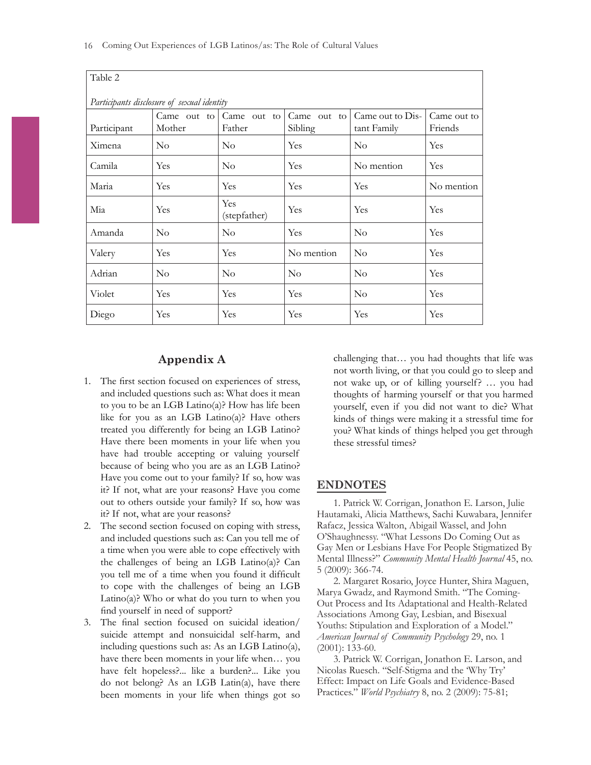| Table 2                                    |                       |                       |                        |                                 |                        |  |  |  |  |  |  |
|--------------------------------------------|-----------------------|-----------------------|------------------------|---------------------------------|------------------------|--|--|--|--|--|--|
| Participants disclosure of sexual identity |                       |                       |                        |                                 |                        |  |  |  |  |  |  |
| Participant                                | Came out to<br>Mother | Came out to<br>Father | Came out to<br>Sibling | Came out to Dis-<br>tant Family | Came out to<br>Friends |  |  |  |  |  |  |
| Ximena                                     | $\rm No$              | $\rm No$              | Yes                    | $\rm No$                        | Yes                    |  |  |  |  |  |  |
| Camila                                     | Yes                   | $\rm No$              | Yes                    | No mention                      | Yes                    |  |  |  |  |  |  |
| Maria                                      | Yes                   | Yes                   | Yes                    | Yes                             | No mention             |  |  |  |  |  |  |
| Mia                                        | Yes                   | Yes<br>(stepfather)   | Yes                    | Yes                             | Yes                    |  |  |  |  |  |  |
| Amanda                                     | $\rm No$              | $\rm No$              | Yes                    | $\rm No$                        | Yes                    |  |  |  |  |  |  |
| Valery                                     | Yes                   | Yes                   | No mention             | $\rm No$                        | Yes                    |  |  |  |  |  |  |
| Adrian                                     | $\rm No$              | $\rm No$              | $\rm No$               | $\rm No$                        | Yes                    |  |  |  |  |  |  |
| Violet                                     | Yes                   | Yes                   | Yes                    | $\rm No$                        | Yes                    |  |  |  |  |  |  |
| Diego                                      | Yes                   | Yes                   | Yes                    | Yes                             | Yes                    |  |  |  |  |  |  |

### **Appendix A**

- 1. The frst section focused on experiences of stress, and included questions such as: What does it mean to you to be an LGB Latino(a)? How has life been like for you as an LGB Latino(a)? Have others treated you differently for being an LGB Latino? Have there been moments in your life when you have had trouble accepting or valuing yourself because of being who you are as an LGB Latino? Have you come out to your family? If so, how was it? If not, what are your reasons? Have you come out to others outside your family? If so, how was it? If not, what are your reasons?
- 2. The second section focused on coping with stress, and included questions such as: Can you tell me of a time when you were able to cope effectively with the challenges of being an LGB Latino(a)? Can you tell me of a time when you found it diffcult to cope with the challenges of being an LGB Latino(a)? Who or what do you turn to when you fnd yourself in need of support?
- 3. The fnal section focused on suicidal ideation/ suicide attempt and nonsuicidal self-harm, and including questions such as: As an LGB Latino(a), have there been moments in your life when… you have felt hopeless?... like a burden?... Like you do not belong? As an LGB Latin(a), have there been moments in your life when things got so

challenging that… you had thoughts that life was not worth living, or that you could go to sleep and not wake up, or of killing yourself? … you had thoughts of harming yourself or that you harmed yourself, even if you did not want to die? What kinds of things were making it a stressful time for you? What kinds of things helped you get through these stressful times?

### **ENDNOTES**

1. Patrick W. Corrigan, Jonathon E. Larson, Julie Hautamaki, Alicia Matthews, Sachi Kuwabara, Jennifer Rafacz, Jessica Walton, Abigail Wassel, and John O'Shaughnessy. "What Lessons Do Coming Out as Gay Men or Lesbians Have For People Stigmatized By Mental Illness?" *Community Mental Health Journal* 45, no. 5 (2009): 366-74.

2. Margaret Rosario, Joyce Hunter, Shira Maguen, Marya Gwadz, and Raymond Smith. "The Coming-Out Process and Its Adaptational and Health-Related Associations Among Gay, Lesbian, and Bisexual Youths: Stipulation and Exploration of a Model." *American Journal of Community Psychology* 29, no. 1 (2001): 133-60.

3. Patrick W. Corrigan, Jonathon E. Larson, and Nicolas Ruesch. "Self-Stigma and the 'Why Try' Effect: Impact on Life Goals and Evidence-Based Practices." *World Psychiatry* 8, no. 2 (2009): 75-81;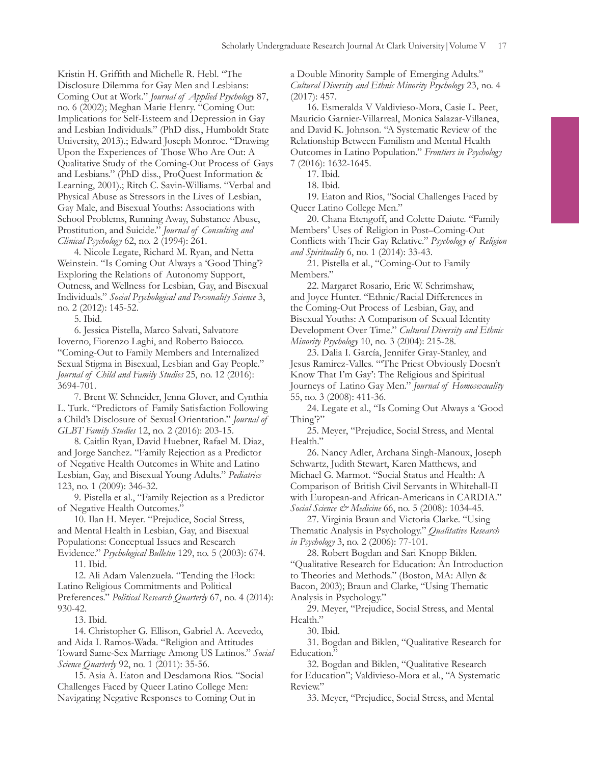Kristin H. Griffth and Michelle R. Hebl. "The Disclosure Dilemma for Gay Men and Lesbians: Coming Out at Work." *Journal of Applied Psychology* 87, no. 6 (2002); Meghan Marie Henry. "Coming Out: Implications for Self-Esteem and Depression in Gay and Lesbian Individuals." (PhD diss., Humboldt State University, 2013).; Edward Joseph Monroe. "Drawing Upon the Experiences of Those Who Are Out: A Qualitative Study of the Coming-Out Process of Gays and Lesbians." (PhD diss., ProQuest Information & Learning, 2001).; Ritch C. Savin-Williams. "Verbal and Physical Abuse as Stressors in the Lives of Lesbian, Gay Male, and Bisexual Youths: Associations with School Problems, Running Away, Substance Abuse, Prostitution, and Suicide." *Journal of Consulting and Clinical Psychology* 62, no. 2 (1994): 261.

4. Nicole Legate, Richard M. Ryan, and Netta Weinstein. "Is Coming Out Always a 'Good Thing'? Exploring the Relations of Autonomy Support, Outness, and Wellness for Lesbian, Gay, and Bisexual Individuals." *Social Psychological and Personality Science* 3, no. 2 (2012): 145-52.

5. Ibid.

6. Jessica Pistella, Marco Salvati, Salvatore Ioverno, Fiorenzo Laghi, and Roberto Baiocco. "Coming-Out to Family Members and Internalized Sexual Stigma in Bisexual, Lesbian and Gay People." *Journal of Child and Family Studies* 25, no. 12 (2016): 3694-701.

7. Brent W. Schneider, Jenna Glover, and Cynthia L. Turk. "Predictors of Family Satisfaction Following a Child's Disclosure of Sexual Orientation." *Journal of GLBT Family Studies* 12, no. 2 (2016): 203-15.

8. Caitlin Ryan, David Huebner, Rafael M. Diaz, and Jorge Sanchez. "Family Rejection as a Predictor of Negative Health Outcomes in White and Latino Lesbian, Gay, and Bisexual Young Adults." *Pediatrics* 123, no. 1 (2009): 346-32.

9. Pistella et al., "Family Rejection as a Predictor of Negative Health Outcomes."

10. Ilan H. Meyer. "Prejudice, Social Stress, and Mental Health in Lesbian, Gay, and Bisexual Populations: Conceptual Issues and Research

Evidence." *Psychological Bulletin* 129, no. 5 (2003): 674. 11. Ibid.

12. Ali Adam Valenzuela. "Tending the Flock: Latino Religious Commitments and Political Preferences." *Political Research Quarterly* 67, no. 4 (2014): 930-42.

13. Ibid.

14. Christopher G. Ellison, Gabriel A. Acevedo, and Aida I. Ramos-Wada. "Religion and Attitudes Toward Same-Sex Marriage Among US Latinos." *Social Science Quarterly* 92, no. 1 (2011): 35-56.

15. Asia A. Eaton and Desdamona Rios. "Social Challenges Faced by Queer Latino College Men: Navigating Negative Responses to Coming Out in

a Double Minority Sample of Emerging Adults." *Cultural Diversity and Ethnic Minority Psychology* 23, no. 4 (2017): 457.

16. Esmeralda V Valdivieso-Mora, Casie L. Peet, Mauricio Garnier-Villarreal, Monica Salazar-Villanea, and David K. Johnson. "A Systematic Review of the Relationship Between Familism and Mental Health Outcomes in Latino Population." *Frontiers in Psychology* 7 (2016): 1632-1645.

17. Ibid.

18. Ibid.

19. Eaton and Rios, "Social Challenges Faced by Queer Latino College Men."

20. Chana Etengoff, and Colette Daiute. "Family Members' Uses of Religion in Post–Coming-Out Conficts with Their Gay Relative." *Psychology of Religion and Spirituality* 6, no. 1 (2014): 33-43.

21. Pistella et al., "Coming-Out to Family Members."

22. Margaret Rosario, Eric W. Schrimshaw, and Joyce Hunter. "Ethnic/Racial Differences in the Coming-Out Process of Lesbian, Gay, and Bisexual Youths: A Comparison of Sexual Identity Development Over Time." *Cultural Diversity and Ethnic Minority Psychology* 10, no. 3 (2004): 215-28.

23. Dalia I. García, Jennifer Gray-Stanley, and Jesus Ramirez-Valles. "'The Priest Obviously Doesn't Know That I'm Gay': The Religious and Spiritual Journeys of Latino Gay Men." *Journal of Homosexuality* 55, no. 3 (2008): 411-36.

24. Legate et al., "Is Coming Out Always a 'Good Thing'?"

25. Meyer, "Prejudice, Social Stress, and Mental Health."

26. Nancy Adler, Archana Singh-Manoux, Joseph Schwartz, Judith Stewart, Karen Matthews, and Michael G. Marmot. "Social Status and Health: A Comparison of British Civil Servants in Whitehall-II with European-and African-Americans in CARDIA." *Social Science & Medicine* 66, no. 5 (2008): 1034-45.

27. Virginia Braun and Victoria Clarke. "Using Thematic Analysis in Psychology." *Qualitative Research in Psychology* 3, no. 2 (2006): 77-101.

28. Robert Bogdan and Sari Knopp Biklen. "Qualitative Research for Education: An Introduction to Theories and Methods." (Boston, MA: Allyn & Bacon, 2003); Braun and Clarke, "Using Thematic Analysis in Psychology."

29. Meyer, "Prejudice, Social Stress, and Mental Health."

30. Ibid.

31. Bogdan and Biklen, "Qualitative Research for Education."

32. Bogdan and Biklen, "Qualitative Research for Education"; Valdivieso-Mora et al., "A Systematic Review."

33. Meyer, "Prejudice, Social Stress, and Mental